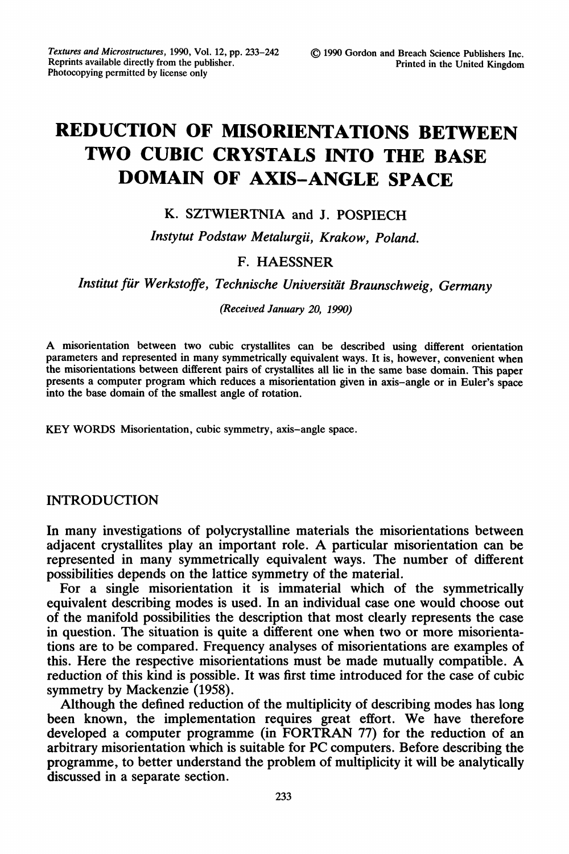# REDUCTION OF MISORIENTATIONS BETWEEN TWO CUBIC CRYSTALS INTO THE BASE DOMAIN OF AXIS-ANGLE SPACE

### K. SZTWIERTNIA and J. POSPIECH

Instytut Podstaw Metalurgii, Krakow, Poland.

#### F. HAESSNER

Institut fiir Werkstoffe, Technische Universitiit Braunschweig, Germany

(Received January 20, 1990)

A misorientation between two cubic crystallites can be described using different orientation parameters and represented in many symmetrically equivalent ways. It is, however, convenient when the misorientations between different pairs of crystallites all lie in the same base domain. This paper presents a computer program which reduces a misorientation given in axis-angle or in Euler's space into the base domain of the smallest angle of rotation.

KEY WORDS Misorientation, cubic symmetry, axis-angle space.

#### INTRODUCTION

In many investigations of polycrystalline materials the misorientations between adjacent crystallites play an important role. A particular misorientation can be represented in many symmetrically equivalent ways. The number of different possibilities depends on the lattice symmetry of the material.

For a single misorientation it is immaterial which of the symmetrically equivalent describing modes is used. In an individual case one would choose out of the manifold possibilities the description that most clearly represents the case in question. The situation is quite a different one when two or more misorientations are to be compared. Frequency analyses of misorientations are examples of this. Here the respective misorientations must be made mutually compatible. A reduction of this kind is possible. It was first time introduced for the case of cubic symmetry by Mackenzie (1958).

Although the defined reduction of the multiplicity of describing modes has long been known, the implementation requires great effort. We have therefore developed <sup>a</sup> computer programme (in FORTRAN 77) for the reduction of an arbitrary misorientation which is suitable for PC computers. Before describing the programme, to better understand the problem of multiplicity it will be analytically discussed in a separate section.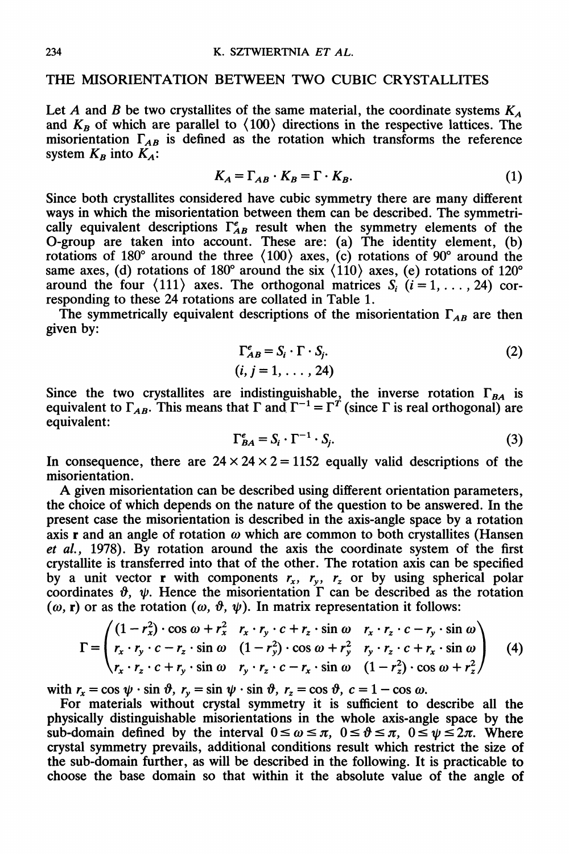#### THE MISORIENTATION BETWEEN TWO CUBIC CRYSTALLITES

Let A and B be two crystallites of the same material, the coordinate systems  $K_A$ and  $K_B$  of which are parallel to  $\langle 100 \rangle$  directions in the respective lattices. The misorientation  $\Gamma_{AB}$  is defined as the rotation which transforms the reference system  $K_B$  into  $K_A$ :

$$
K_A = \Gamma_{AB} \cdot K_B = \Gamma \cdot K_B. \tag{1}
$$

Since both crystallites considered have cubic symmetry there are many different ways in which the misorientation between them can be described. The symmetrically equivalent descriptions  $\Gamma_{AB}^e$  result when the symmetry elements of the O-group are taken into account. These are: (a) The identity element, (b) rotations of 180 $^{\circ}$  around the three  $\langle 100 \rangle$  axes, (c) rotations of 90 $^{\circ}$  around the same axes, (d) rotations of 180° around the six  $\langle 110 \rangle$  axes, (e) rotations of 120° around the four  $\langle 111 \rangle$  axes. The orthogonal matrices  $S_i$   $(i = 1, \ldots, 24)$  corresponding to these 24 rotations are collated in Table 1.

The symmetrically equivalent descriptions of the misorientation  $\Gamma_{AB}$  are then given by:

$$
\Gamma_{AB}^e = S_i \cdot \Gamma \cdot S_j. \tag{2}
$$
  
(*i*, *j* = 1, . . . , 24)

Since the two crystallites are indistinguishable, the inverse rotation  $\Gamma_{BA}$  is equivalent to  $\Gamma_{AB}$ . This means that  $\Gamma$  and  $\Gamma^{-1} = \Gamma^{T}$  (since  $\Gamma$  is real orthogonal) are equivalent:

$$
\Gamma_{BA}^e = S_i \cdot \Gamma^{-1} \cdot S_j. \tag{3}
$$

In consequence, there are  $24 \times 24 \times 2 = 1152$  equally valid descriptions of the misorientation.

A given misorientation can be described using different orientation parameters, the choice of which depends on the nature of the question to be answered. In the present case the misorientation is described in the axis-angle space by a rotation axis r and an angle of rotation  $\omega$  which are common to both crystallites (Hansen et al., 1978). By rotation around the axis the coordinate system of the first crystallite is transferred into that of the other. The rotation axis can be specified by a unit vector **r** with components  $r_x$ ,  $r_y$ ,  $r_z$  or by using spherical polar coordinates  $\vartheta$ ,  $\psi$ . Hence the misorientation  $\Gamma$  can be described as the rotation  $(\omega, r)$  or as the rotation  $(\omega, \vartheta, \psi)$ . In matrix representation it follows:

$$
\Gamma = \begin{pmatrix}\n(1 - r_x^2) \cdot \cos \omega + r_x^2 & r_x \cdot r_y \cdot c + r_z \cdot \sin \omega & r_x \cdot r_z \cdot c - r_y \cdot \sin \omega \\
r_x \cdot r_y \cdot c - r_z \cdot \sin \omega & (1 - r_y^2) \cdot \cos \omega + r_y^2 & r_y \cdot r_z \cdot c + r_x \cdot \sin \omega \\
r_x \cdot r_z \cdot c + r_y \cdot \sin \omega & r_y \cdot r_z \cdot c - r_x \cdot \sin \omega & (1 - r_z^2) \cdot \cos \omega + r_z^2\n\end{pmatrix}
$$
\n(4)

with  $r_x = \cos \psi \cdot \sin \vartheta$ ,  $r_y = \sin \psi \cdot \sin \vartheta$ ,  $r_z = \cos \vartheta$ ,  $c = 1 - \cos \omega$ .

For materials without crystal symmetry it is sufficient to describe all the physically distinguishable misorientations in the whole axis-angle space by the sub-domain defined by the interval  $0 \le \omega \le \pi$ ,  $0 \le \vartheta \le \pi$ ,  $0 \le \psi \le 2\pi$ . Where crystal symmetry prevails, additional conditions result which restrict the size of the sub-domain further, as will be described in the following. It is practicable to choose the base domain so that within it the absolute value of the angle of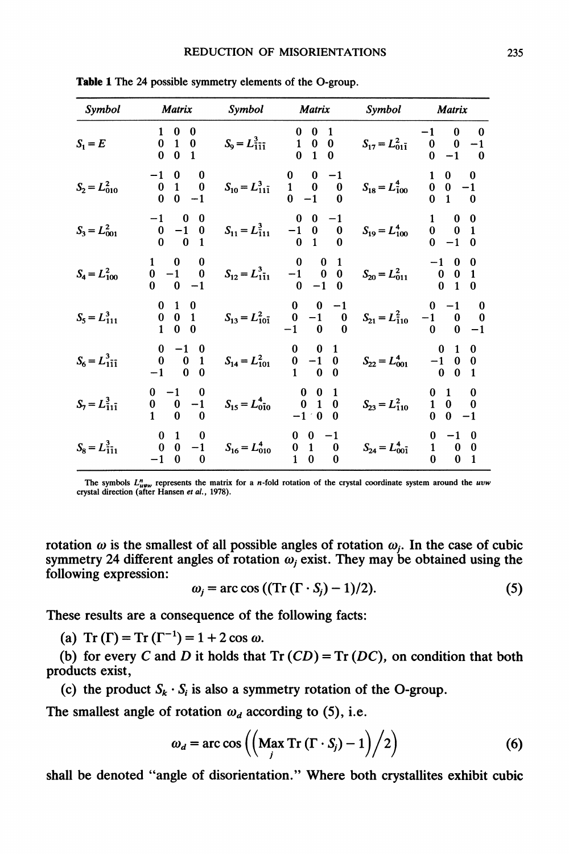| Symbol                  | <b>Matrix</b>                                                                 |                                                                                 | Symbol Matrix                                                                                           |                                    | Symbol Matrix                                                                                     |
|-------------------------|-------------------------------------------------------------------------------|---------------------------------------------------------------------------------|---------------------------------------------------------------------------------------------------------|------------------------------------|---------------------------------------------------------------------------------------------------|
| $S_1 = E$               | $\begin{array}{cc} 1 & 0 \ 0 & 1 \ 0 & 0 \end{array}$<br>$\boldsymbol{0}$     | $S_9 = L_{111}^3$                                                               | $\begin{array}{cc} 0 & 0 \\ 1 & 0 \\ 0 & 1 \end{array}$<br>$\begin{matrix} 0 \\ 0 \end{matrix}$         | $S_{17} = L_{01\bar{1}}^2$         | $\begin{matrix}1\\0\\0\end{matrix}$<br>$\boldsymbol{0}$<br>$\overline{0}$                         |
| $S_2 = L_{010}^2$       | $\begin{matrix} 0 & 1 \\ 0 & 0 \end{matrix}$<br>$\bf{0}$                      | $S_{10} = L_{11\bar{1}}^3$                                                      | $\begin{matrix} 0 & 0 \\ 1 & 0 \\ 0 & -1 \end{matrix}$<br>$\begin{smallmatrix} &0\\0 \end{smallmatrix}$ | $S_{18} = L_{100}^4$               | $\begin{matrix} 0 & 0 & -1 \\ 0 & 1 & 0 \end{matrix}$                                             |
| $S_3 = L_{001}^2$       | $\begin{matrix} 0 & -1 \\ 0 & 0 \end{matrix}$<br>$\bf{0}$                     |                                                                                 | $S_{11} = L_{111}^3$ $\begin{array}{ccc} & 0 & 0 & -1 \\ -1 & 0 & 0 \\ 0 & 1 & 0 \end{array}$           |                                    | $S_{19} = L_{100}^4$ $\begin{array}{ccc} 0 & 0 \\ 0 & -1 \end{array}$<br>$\mathbf{1}$             |
| $S_4 = L_{100}^2$       | $\frac{1}{-1}$<br>$\bf{0}$<br>$\bf{0}$                                        | $S_{12} = L_{111}^3$ $\begin{array}{ccc} 0 & 0 \\ -1 & 0 \\ 0 & -1 \end{array}$ | $\bf{0}$                                                                                                | $S_{20} = L_{011}^2$               | $\begin{array}{cc} 1 & 0 \\ 0 & 0 \\ 0 & 1 \end{array}$<br>$\begin{bmatrix} 1 \\ 0 \end{bmatrix}$ |
| $S_5 = L_{111}^3$       | $\begin{matrix} 0 & 0 & 1 \end{matrix}$<br>$\bf{0}$<br>$\mathbf{0}$           |                                                                                 | $S_{13}=L_{10\bar{1}}^2 \qquad \begin{array}{ccc} 0 & 0 & -1 \\ 0 & -1 & 0 \\ -1 & 0 & 0 \end{array}$   | $S_{21} = L_{110}^2$ $-1$ $-1$ $0$ | 0 0<br>$\bf{0}$                                                                                   |
| $S_6 = L_{111}^3$       | $\begin{matrix} 0 & 0 \\ -1 & 0 \end{matrix}$<br>$\mathbf{1}$<br>$\mathbf{0}$ |                                                                                 | $S_{14} = L_{101}^2$ $\begin{array}{ccc} 0 & -1 & 0 \\ 0 & -1 & 0 \\ 1 & 0 & 0 \end{array}$             | $S_{22} = L_{001}^4$               | $\begin{matrix} -1 & 0 \\ 0 & 0 \end{matrix}$                                                     |
| $S_7 = L_{11\bar{1}}^3$ | $0 -1$<br>$\begin{matrix} 0 \\ 1 \end{matrix}$<br>$\bf{0}$<br>$\bf{0}$        | $S_{15} = L_{010}^4$                                                            | $\begin{array}{cc} 0 & 0 \\ 0 & 1 \\ -1 & 0 \end{array}$<br>$\bf{0}$<br>$\bf{0}$                        | $S_{23} = L_{110}^2$               | $\boldsymbol{0}$<br>$\mathbf{1}$<br>$\boldsymbol{0}$<br>$\mathbf{0}$                              |
| $S_8 = L_{111}^3$       | $0\quad 0$<br>$-1$<br>0<br>$\bf{0}$                                           | $S_{16} = L_{010}^4$                                                            | $\begin{matrix}0\\1\end{matrix}$<br>$\mathbf{1}$<br>$\bf{0}$<br>$\bf{0}$<br>0                           | $S_{24} = L_{00\bar{1}}^4$         | $\mathbf{1}$<br>$\bf{0}$<br>0<br>1<br>$\mathbf{0}$<br>$\mathbf{0}$                                |

Table 1 The 24 possible symmetry elements of the O-group.

The symbols  $L_{uvw}^n$  represents the matrix for a *n*-fold rotation of the crystal coordinate system around the crystal direction (after Hansen *et al.*, 1978).

rotation  $\omega$  is the smallest of all possible angles of rotation  $\omega_i$ . In the case of cubic symmetry 24 different angles of rotation  $\omega_i$  exist. They may be obtained using the following expression:

$$
\omega_j = \arccos ((\operatorname{Tr} (\Gamma \cdot S_j) - 1)/2). \tag{5}
$$

These results are a consequence of the following facts:

(a) Tr  $(\Gamma)$  = Tr  $(\Gamma^{-1})$  = 1 + 2 cos  $\omega$ .

(b) for every C and D it holds that  $Tr (CD) = Tr (DC)$ , on condition that both products exist,

(c) the product  $S_k \cdot S_i$  is also a symmetry rotation of the O-group.

The smallest angle of rotation  $\omega_d$  according to (5), i.e.

$$
\omega_d = \arccos\left(\left(\frac{\text{Max Tr}\left(\Gamma \cdot S_j\right) - 1}{j}\right) / 2\right) \tag{6}
$$

shall be denoted "angle of disorientation." Where both crystallites exhibit cubic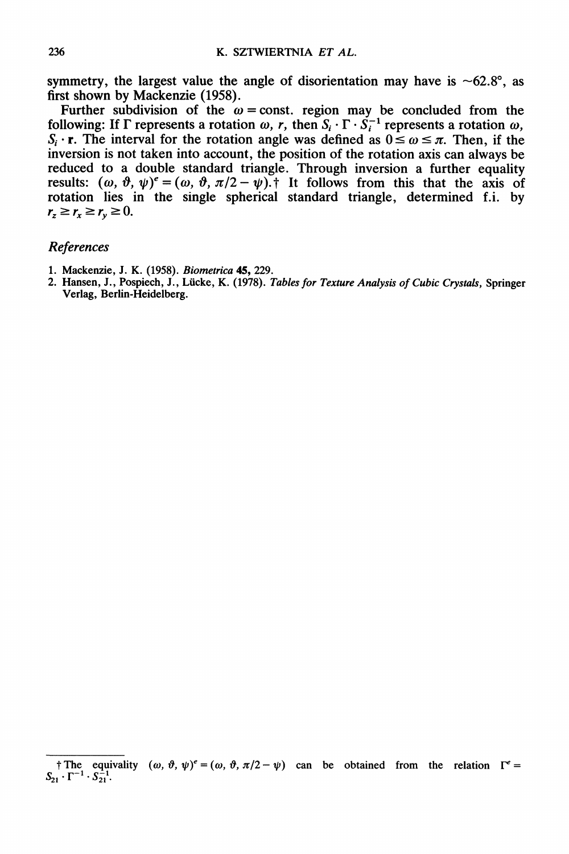symmetry, the largest value the angle of disorientation may have is  $\sim 62.8^{\circ}$ , as first shown by Mackenzie (1958).

Further subdivision of the  $\omega$  = const, region may be concluded from the following: If  $\Gamma$  represents a rotation  $\omega$ , r, then  $S_i \cdot \Gamma \cdot S_i^{-1}$  represents a rotation  $\omega$ ,  $S_i \cdot r$ . The interval for the rotation angle was defined as  $0 \le \omega \le \pi$ . Then, if the inversion is not taken into account, the position of the rotation axis can always be reduced to a double standard triangle. Through inversion a further equality results:  $(\omega, \vartheta, \psi)^e = (\omega, \vartheta, \pi/2 - \psi)$ .<sup>†</sup> It follows from this that the axis of rotation lies in the single spherical standard triangle, determined f.i. by  $r_z \ge r_x \ge r_v \ge 0.$ 

#### References

- 1. Mackenzie, J. K. (1958). Biometrica 45, 229.
- 2. Hansen, J., Pospiech, J., Lücke, K. (1978). Tables for Texture Analysis of Cubic Crystals, Springer Verlag, Berlin-Heidelberg.

The equivality  $(\omega, \vartheta, \psi)^e = (\omega, \vartheta, \pi/2 - \psi)$  can be obtained from the relation  $\Gamma^e =$  $S_{21} \cdot \Gamma^{-1} \cdot S_{21}^{-1}$ .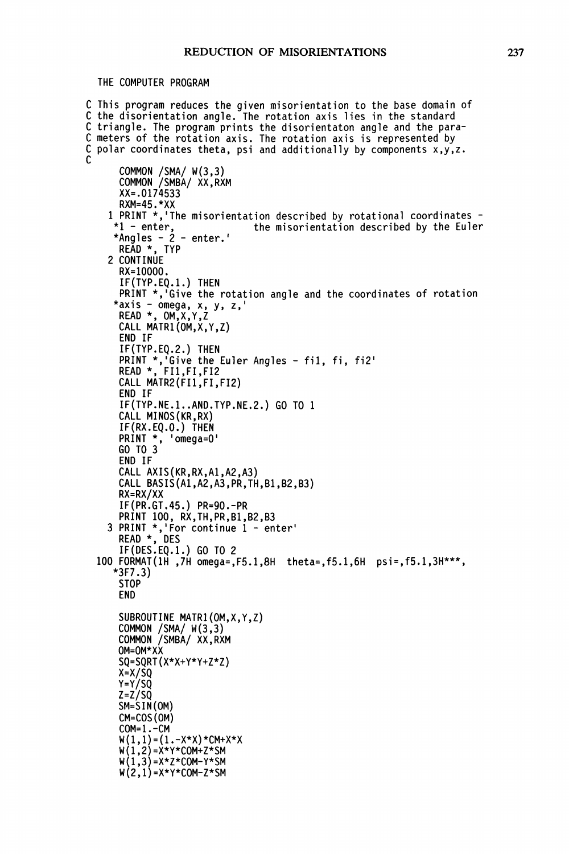THE COMPUTER PROGRAM

```
C This program reduces the given misorientation to the base domain of
C the disorientation angle. The rotation axis lies in the standard
C triangle. The program prints the disorientaton angle and the para-
C meters of the rotation axis. The rotation axis is represented by
C polar coordinates theta, psi and additionally by components x,y,z.
C
      COMMON /SMA/ W(3,3)
      COMMON /SMBA/ XX,RXM
      XX=.0174533
      RXM=45.*XX
    1 PRINT \star,'The misorientation described by rotational coordinates \star1 - enter,<br>\star the misorientation described by the Euler
                                the misorientation described by the Euler
     *Angles - 2 - enter.'
      READ *, TYP
    2 CONTINUE
      RX=IO000.
      IF(TYP.EQ.I.) THEN
      PRINT *,'Give the rotation angle and the coordinates of rotation
     *axis - omega, x, y, z,'
      READ *, OM,X,Y,Z
      CALL MATR1 (OM,X, Y,Z)
      END IF
      IF (TYP.EQ.2.) THEN
      PRINT *,'Give the Euler Angles - fil, fi, fi2'
      READ *, FI1,FI,FI2
      CALL MATR2(FI1,FI,FI2)
      END IF
      IF(TYP.NE.I..AND.TYP.NE.2.) GO TO
      CALL MINOS(KR,RX)
      IF(RX.EQ.O.) THEN
      PRINT *, 'omega=O'
      GO TO 3
      END IF
      CALL AXIS(KR,RX,A1,A2,A3)
      CALL BASIS(A1,A2,A3,PR,TH,B1,B2,B3)
      RX=RX/XX
      IF(PR.GT.45.) PR=90.-PR
      PRINT 100, RX,TH,PR,B1,B2,B3
    3 PRINT *, 'For continue 1 - enter'
      READ *, DES
      IF(DES.EQ.I.) GO TO 2
  100 FORMAT(IH ,7H omega=,F5.1,8H theta=,f5.1,6H psi=,f5.1,3H***,
     "3F7.3)
      STOP
      END
      SUBROUTINE MATRI(OM,X,Y,Z)
      COMMON /SMA/ W(3,3)
      COMMON /SMBA/ XX,RXM
      OM=OM*XX
      SQ=SQRT(X*X+Y*Y+Z*Z)
      x=x/sQ
      Y=Y/SQ
      z=z/sQ
      SM=SIN(OM)
      CM=COS(OM)
      COM=I.-CM
      W(1,1) = (1. - X^*X)^*CM+X^*XW(1,2)=X*Y*COM+Z*SM
      W(1,3) = X*Z*COM-Y*SMW(2,1) = X*Y*COM-Z*SM
```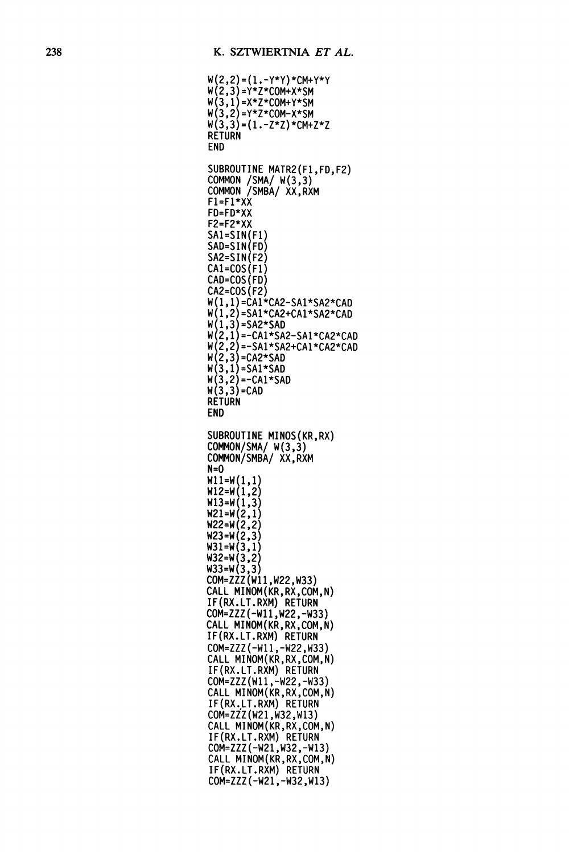$W(2,2) = (1. - Y^*Y) * CM+Y^*Y$ W (2,3) =Y\*Z\*COM+X\*SM W(3,1)=X\*Z\*COM+Y\*SM W (3,2) Y\*Z\*COM-X\*SM w(3,3)=(1.-Z\*Z)\*CM+Z\*Z RETURN END SUBROUTINE MATR2(F1 ,FD,F2) COMMON /SMA/ W(3,3) COMMON /SMBA/ XX,RXM FI=FI\*XX FD=FD\*XX F2=F2\*XX SAI=SIN(FI) SAD=SlN(FD) SA2=SIN(F2) CAI=COS(FI) CAD=COS (FD) CA2=COS (F2)  $W(1, 1)$ =CA1\*CA2-SA1\*SA2\*CAD  $W(1,2) = SA1*CA2+CAI*SA2*CAD$ <br> $W(1,3) = SA2*SAD$ W(1,3)=SA2\*SAD<br>W(2,1)=-CA1\*SA2-SA1\*CA2\*CAD  $W(2,2) = -SA1*SA2+CA1*CA2*CAD$  $W(2,3) = CA2*SAD$  $W(3,1)$ =SA1\*SAD  $W(3,2) = -CA1*SAD$  $W(3,3) = CAD$ **RETURN** END SUBROUTINE MINOS(KR,RX) COMMON/SMA/ W(3,3) COMMON/SMBA/ XX, RXM N=O  $W11=W(1,1)$ W12=W(1,2)  $W13=W(1,3)$  $W21=W(2,1)$ W22=W(2,2) W23=W(2,3)  $W31=W(3,1)$  $W32=W(3,2)$  $W33=W(3,3)$ COM=ZZZ(WII,W22,W33) CALL MINOM(KR,RX,COM,N) IF(RX.LT.RXM) RETURN COM=ZZZ(-W11,W22,-W33) CALL MINOM(KR,RX,COM,N) IF(RX.LT.RXM) RETURN COM=ZZZ(-W11,-W22,W33) CALL MINOM(KR,RX,COM,N) IF(RX.LT.RXM) RETURN COM=ZZZ(W11,-W22,-W33) CALL MINOM(KR,RX,COM,N) IF(RX.LT.RXM) RETURN COM=ZZ(W21,W32,W13) CALL MINOM(KR,RX,COM,N) IF(RX.LT.RXM) RETURN COM=ZZZ(-W21,W32,-WI3) CALL MINOM(KR,RX,COM,N) IF(RX.LT.RXM) RETURN COM=ZZZ(-W21,-W32,WI3)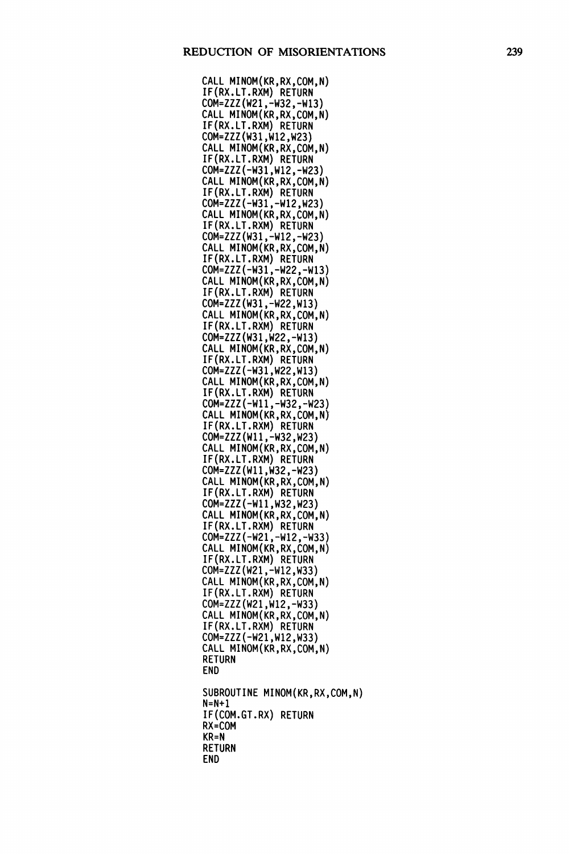CALL MINOM(KR,RX,COM,N) IF(RX.LT.RXM) RETURN COM=ZZZ(W21,-W32,-W13) CALL MINOM(KR,RX,COM,N) IF(RX.LT.RXM) RETURN COM=ZZZ(W31,W12,W23) CALL MINOM(KR,RX,COM,N) IF(RX.LT.RXM) RETURN COM=ZZZ(-W31,W12,-W23) CALL MINOM(KR,RX,COM,N) IF(RX.LT.RXM) RETURN COM=ZZZ(-W31,-W12,W23) CALL MINOM(KR, RX, COM, N) IF(RX.LT.RXM) RETURN COM=ZZZ(W31,-WI2,-W23) CALL MINOM(KR,RX,COM,N) IF(RX.LT.RXM) RETURN COM=ZZZ(-W31,-W22,-W13) CALL MINOM(KR,RX,COM,N) IF(RX.LT.RXM) RETURN COM=ZZZ(W31,-W22,W13) CALL MINOM(KR,RX,COM,N) IF(RX.LT.RXM) RETURN COM=ZZZ(W31,W22,-W13) CALL MINOM(KR,RX,COM,N) IF(RX.LT.RXM) RETURN COM=ZZZ(-W31,W22,W13) CALL MINOM(KR,RX,COM,N) IF(RX.LT.RXM) RETURN COM=ZZZ(-W11,-W32,-W23) CALL MINOM(KR,RX,COM,N) IF(RX.LT.RXM) RETURN COM=ZZZ(WI1,-W32,W23) CALL MINOM(KR,RX,COM,N) IF(RX.LT.RXM) RETURN COM=ZZZ(W11,W32,-W23) CALL MINOM(KR,RX,COM,N) IF(RX.LT.RXM) RETURN COM=ZZZ(-W11,W32,W23) CALL MINOM(KR,RX,COM,N) IF(RX.LT.RXM) RETURN COM=ZZZ(-W21,-WI2,-W33) CALL MINOM(KR,RX,COM,N) IF(RX.LT.RXM) RETURN COM=ZZZ(W21,-W12,W33) CALL MINOM(KR,RX,COM,N) IF(RX.LT.RXM) RETURN COM=ZZZ(W21,W12,-W33) CALL MINOM(KR,RX,COM,N) IF(RX.LT.RXM) RETURN COM=ZZZ(-W21,W12,W33) CALL MINOM(KR,RX,COM,N) RETURN END SUBROUTINE MINOM(KR,RX,COM,N) N=N+I IF(COM.GT.RX) RETURN RX=COM KR=N RETURN END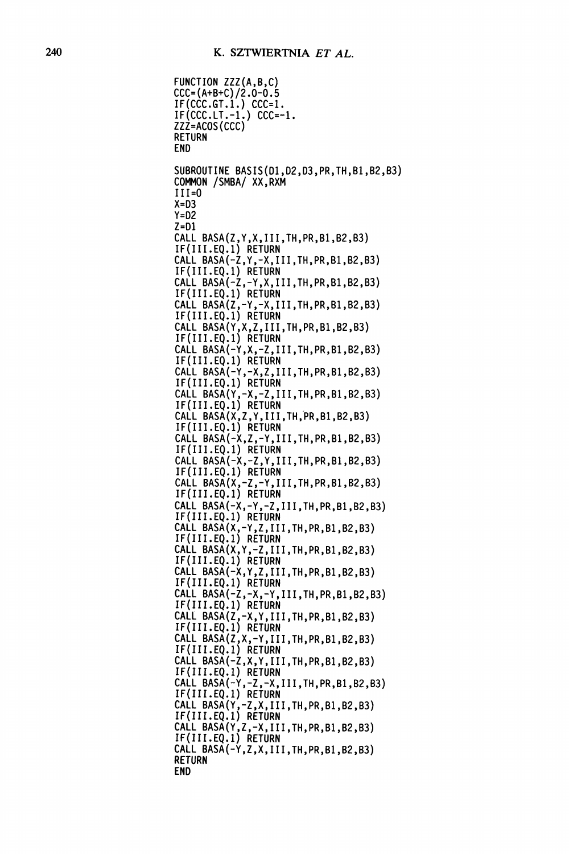```
FUNCTION ZZZ(A,B,C)
CCC = (A+B+C)/2.0-0.5IF(CCC.GT.1.) CCC=1.IF(CCC.LT.-1.) CCC=-1.ZZZ=ACOS (CCC)
RETURN
END
SUBROUTINE BASIS(DI,D2,D3,PR,TH,BI,B2,B3)
COMMON /SMBA/ XX,RXM
III=O
X = D3Y=D2
Z=DI
CALL BASA(Z,Y,X,III,TH,PR,B1,B2,B3)
IF(III.EQ.I) RETURN
CALL BASA(-Z,Y,-X,III,TH,PR,B1,B2,B3)
IF(III.EQ.I) RETURN
CALL BASA(-Z,-Y,X,III,TH,PR,BI,B2,B3)
IF(III.EQ.I) RETURN
CALL BASA(Z,-Y,-X,III,TH,PR,B1,B2,B3)
IF(III.EQ.I) RETURN
CALL BASA(Y,X,Z,III,TH,PR,B1,B2,B3)
IF(III.EQ.I) RETURN
CALL BASA(-Y,X,-Z,III,TH,PR,B1,B2,B3)
IF(III.EQ.I) RETURN
CALL BASA(-Y,-X,Z,III,TH,PR,B1,B2,B3)
IF(III.EQ.I) RETURN
CALL BASA(Y,-X,-Z,III,TH,PR,BI,B2,B3)
IF(III.EQ.1) RETURN
CALL BASA(X,Z,Y,III,TH,PR,B1,B2,B3)
IF(III.EQ.I) RETURN
CALL BASA(-X,Z,-Y,III,TH,PR,BI,B2,B3)
IF(III.EQ.I) RETURN
CALL BASA(-X,-Z,Y,III,TH,PR,BI,B2,B3)
IF(III.EQ.I) RETURN
CALL BASA(X,-Z,-Y,III,TH,PR,B1,B2,B3)
IF(III.EQ.I) RETURN
CALL BASA(-X,-Y,-Z,III,TH,PR,B1,B2,B3)
IF(III.EQ.I) RETURN
CALL BASA(X,-Y,Z,III,TH,PR,B1,B2,B3)
IF(III.EQ.I) RETURN
CALL BASA(X,Y,-Z,III,TH,PR,BI,B2,B3)
IF(III.EQ.I) RETURN
CALL BASA(-X,Y,Z,III,TH,PR,B1,B2,B3)
IF(III.EQ.I) RETURN
CALL BASA(-Z,-X,-Y,III,TH,PR,BI,B2,B3)
IF(III.EQ.I) RETURN
CALL BASA(Z,-X,Y,III,TH,PR,B1,B2,B3)
IF(III.EQ.I) RETURN
CALL BASA(Z,X,-Y,III,TH,PR,B1,B2,B3)
IF(III.EQ.I) RETURN
CALL BASA(-Z,X,Y,III,TH,PR,B1,B2,B3)
IF(III.EQ.I) RETURN
CALL BASA(-Y,-Z,-X,III,TH,PR,BI,B2,B3)
IF(III.EQ.I) RETURN
CALL BASA(Y,-Z,X,III,TH,PR,B1,B2,B3)
IF(III.EQ.I) RETURN
CALL BASA(Y,Z,-X,III,TH,PR,B1,B2,B3)
IF(III.EQ.I) RETURN
CALL BASA(-Y,Z,X,III,TH,PR,BI,B2,B3)
RETURN
END
```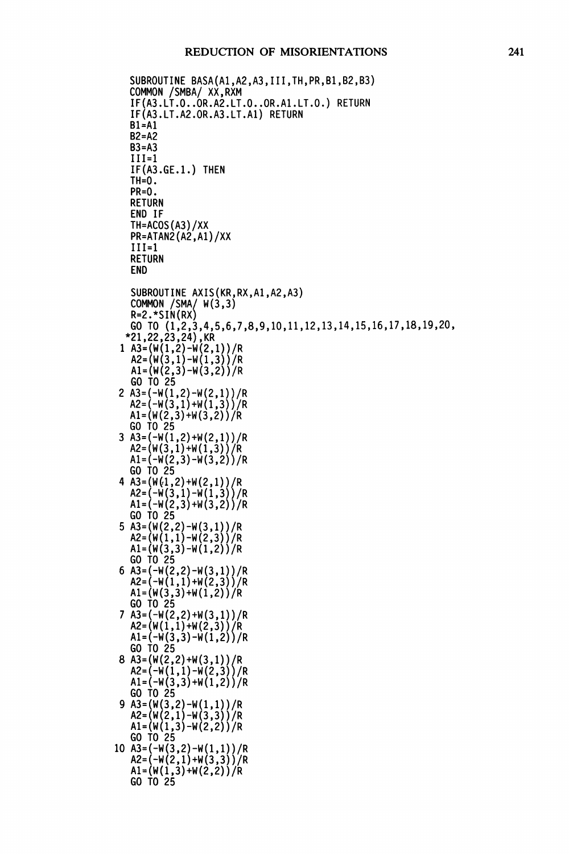```
SUBROUTINE BASA(A1, A2, A3, III, TH, PR, B1, B2, B3)COMMON /SMBA/ XX,RXM
   IF(A3.LT.O..OR.A2.LT.O..OR.AI.LT.O.) RETURN
   IF(A3. LT.A2.0R.A3 .LT.AI) RETURN
   BI=AI
   B2=A2
   B3=A3
   III=1IF(A3.GE.I.) THEN
   TH=0.
   PR=O.
   RETURN
   END IF
   TH=ACOS (A3)/XX
   PR=ATAN2 (A2 ,AI)/XX
   III=1
   RETURN
   END
   SUBROUTINE AXIS(KR,RX,AI,A2,A3)
   COMMON /SMA/ W(3,3)R=2.*SIN(RX)
   GO TO (1,2,3,4,5,6,7,8,9,10,11,12,13,14,15,16,17,18,19,20,
  "21,22,23,24) ,KR
 1 A3=(W(1,2)-W(2,1))/R<br>A2=(W(3,1)-W(1,3))/R
   AI=(W(2,3)-W(3,2))/RGO TO 25
2 A3=(-W(1,2)-W(2,1))/R<br>A2=(-W(3,1)+W(1,3))/RAI = (W(2,3)+W(3,2))/RGO TO 25
 3 A3=(-W(1,2)+W(2,1))/RA2 = (W(3,1) + W(1,3))/R
   AI = (-W(2,3)-W(3,2)) / RGO TO 25
 4 A3=(W(1,2) + W(2,1))/R
   A2 = (-W(3,1)-W(1,3)) /RA1 = (-W(2,3) + W(3,2)) / RGO TO 25
 5 A3=(W(2,2)-W(3,1))/R
   A2= (W(I, I)-W (2,3))/R
   AI (W (3,3)-W (1,2) )/R
   GO TO 25
 6 A3= (-W(2,2)-W (3,1))
A2=(-W(I, I)+W(2,3)) I
   AI = (W(3,3) + W(1,2))/R
   GO TO 25
 7 A3=(-W(2,2)+W(3,1))/RA3=(-W(∠,∠)+W(3,I))/R<br>A2=(W(1,1)+W(2,3))/R
   AI = (-W(3,3)-W(1,2)) / RGO TO 25
   A2=(-W(1,1)-W(2,3))/R<br>A1=(-W(3,3)+W(1,2))/R
 GO TO 25<br>9 A3=(W(3,2)-W(1,1))/R
    A2=(W(2,1)-W(3,3))/R<br>A1=(W(1,3)-W(2,2))/R
   GO TO 25
10 A3=(-W(3,2)-W(1,1))/RA2 = (-W(2,1)+W(3,3))/R
   A1 = (W(1,3) + W(2,2))/R
   GO TO 25
```